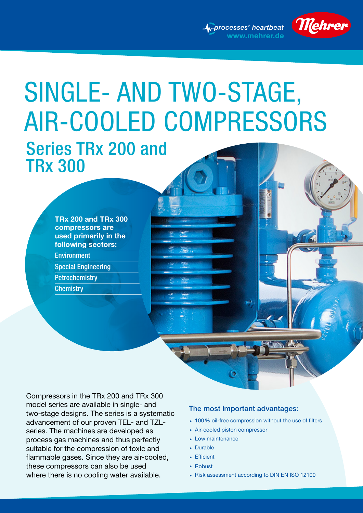www.mehrer.de



# Series TRx 200 and TRx 300 SINGLE- AND TWO-STAGE, AIR-COOLED COMPRESSORS

**TRx 200 and TRx 300 compressors are used primarily in the following sectors:** Environment Special Engineering **Petrochemistry Chemistry** 

Compressors in the TRx 200 and TRx 300 model series are available in single- and two-stage designs. The series is a systematic advancement of our proven TEL- and TZLseries. The machines are developed as process gas machines and thus perfectly suitable for the compression of toxic and flammable gases. Since they are air-cooled, these compressors can also be used where there is no cooling water available.

#### The most important advantages:

- 100% oil-free compression without the use of filters
- Air-cooled piston compressor
- Low maintenance
- Durable
- Efficient
- Robust
- Risk assessment according to DIN EN ISO 12100